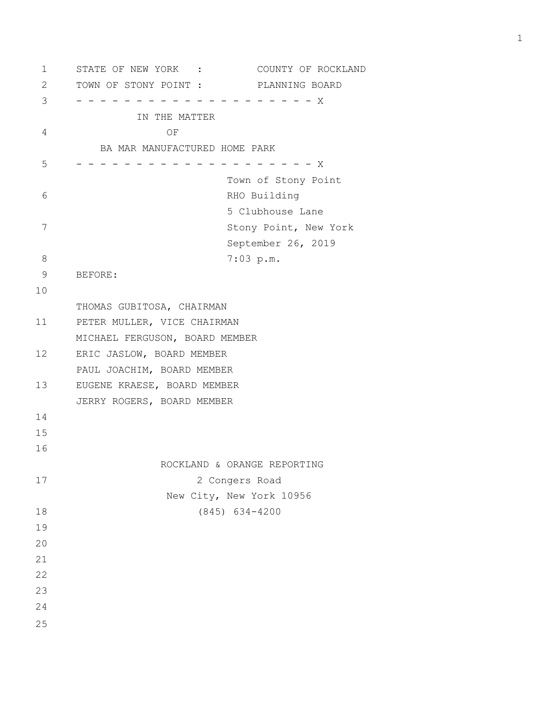1 STATE OF NEW YORK : COUNTY OF ROCKLAND 2 TOWN OF STONY POINT : PLANNING BOARD 3 - - - - - - - - - - - - - - - - - - - - X IN THE MATTER 4 OF BA MAR MANUFACTURED HOME PARK 5 - - - - - - - - - - - - - - - - - - - - X Town of Stony Point 6 RHO Building 5 Clubhouse Lane 7 Stony Point, New York September 26, 2019 8 7:03 p.m. 9 BEFORE: 10 THOMAS GUBITOSA, CHAIRMAN 11 PETER MULLER, VICE CHAIRMAN MICHAEL FERGUSON, BOARD MEMBER 12 ERIC JASLOW, BOARD MEMBER PAUL JOACHIM, BOARD MEMBER 13 EUGENE KRAESE, BOARD MEMBER JERRY ROGERS, BOARD MEMBER 14 15 16 ROCKLAND & ORANGE REPORTING 17 2 Congers Road New City, New York 10956 18 (845) 634-4200 19 20 21 22 23 24 25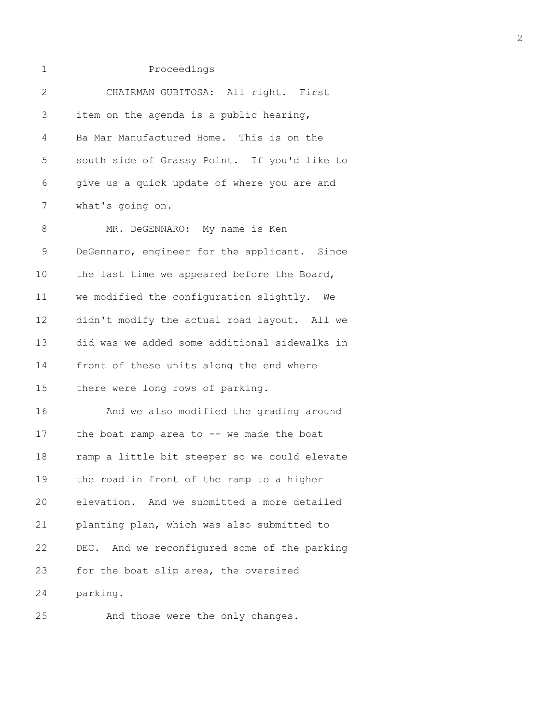| $\mathbf{2}$ | CHAIRMAN GUBITOSA: All right. First           |
|--------------|-----------------------------------------------|
| 3            | item on the agenda is a public hearing,       |
| 4            | Ba Mar Manufactured Home. This is on the      |
| 5            | south side of Grassy Point. If you'd like to  |
| 6            | give us a quick update of where you are and   |
| 7            | what's going on.                              |
| 8            | MR. DeGENNARO: My name is Ken                 |
| 9            | DeGennaro, engineer for the applicant. Since  |
| 10           | the last time we appeared before the Board,   |
| 11           | we modified the configuration slightly. We    |
| 12           | didn't modify the actual road layout. All we  |
| 13           | did was we added some additional sidewalks in |
| 14           | front of these units along the end where      |
| 15           | there were long rows of parking.              |
| 16           | And we also modified the grading around       |
| 17           | the boat ramp area to -- we made the boat     |
| 18           | ramp a little bit steeper so we could elevate |
| 19           | the road in front of the ramp to a higher     |
| 20           | elevation. And we submitted a more detailed   |
| 21           | planting plan, which was also submitted to    |
| 22           | DEC. And we reconfigured some of the parking  |
| 23           | for the boat slip area, the oversized         |
| 24           | parking.                                      |
|              |                                               |

25 And those were the only changes.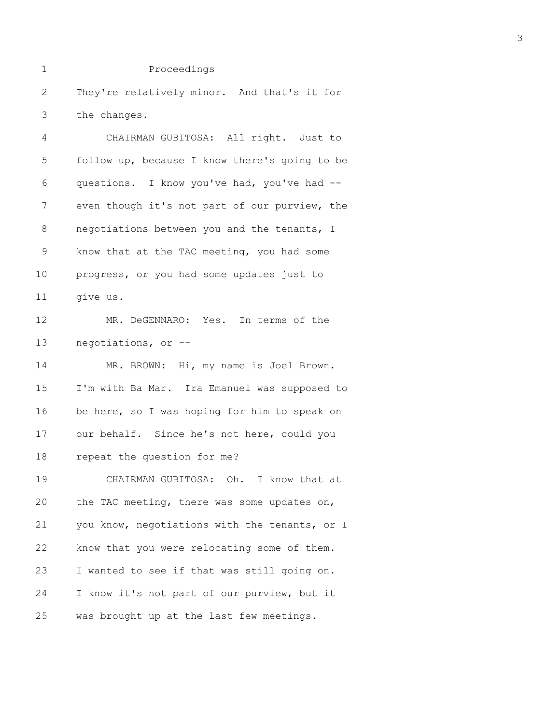1 Proceedings 2 They're relatively minor. And that's it for 3 the changes. 4 CHAIRMAN GUBITOSA: All right. Just to 5 follow up, because I know there's going to be 6 questions. I know you've had, you've had -- 7 even though it's not part of our purview, the 8 negotiations between you and the tenants, I 9 know that at the TAC meeting, you had some 10 progress, or you had some updates just to 11 give us. 12 MR. DeGENNARO: Yes. In terms of the 13 negotiations, or -- 14 MR. BROWN: Hi, my name is Joel Brown. 15 I'm with Ba Mar. Ira Emanuel was supposed to 16 be here, so I was hoping for him to speak on 17 our behalf. Since he's not here, could you 18 repeat the question for me? 19 CHAIRMAN GUBITOSA: Oh. I know that at 20 the TAC meeting, there was some updates on, 21 you know, negotiations with the tenants, or I 22 know that you were relocating some of them. 23 I wanted to see if that was still going on. 24 I know it's not part of our purview, but it 25 was brought up at the last few meetings.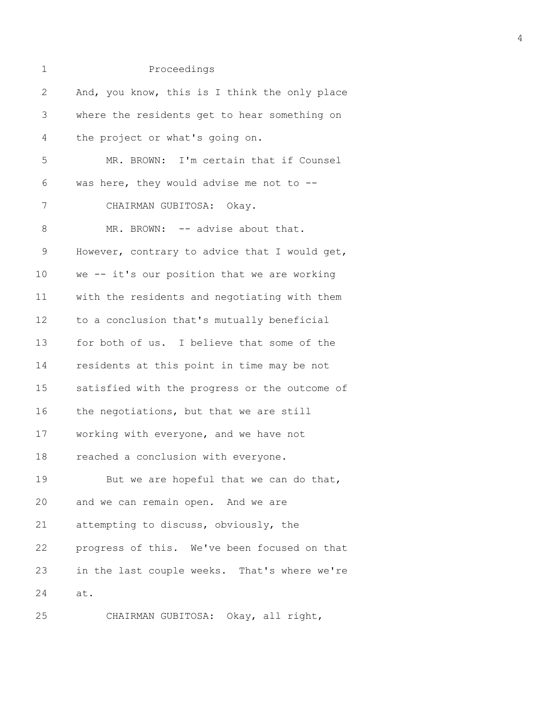| 1            | Proceedings                                   |
|--------------|-----------------------------------------------|
| $\mathbf{2}$ | And, you know, this is I think the only place |
| 3            | where the residents get to hear something on  |
| 4            | the project or what's going on.               |
| 5            | MR. BROWN: I'm certain that if Counsel        |
| 6            | was here, they would advise me not to $-$ -   |
| 7            | CHAIRMAN GUBITOSA: Okay.                      |
| 8            | MR. BROWN: -- advise about that.              |
| 9            | However, contrary to advice that I would get, |
| 10           | we -- it's our position that we are working   |
| 11           | with the residents and negotiating with them  |
| 12           | to a conclusion that's mutually beneficial    |
| 13           | for both of us. I believe that some of the    |
| 14           | residents at this point in time may be not    |
| 15           | satisfied with the progress or the outcome of |
| 16           | the negotiations, but that we are still       |
| 17           | working with everyone, and we have not        |
| 18           | reached a conclusion with everyone.           |
| 19           | But we are hopeful that we can do that,       |
| 20           | and we can remain open. And we are            |
| 21           | attempting to discuss, obviously, the         |
| 22           | progress of this. We've been focused on that  |
| 23           | in the last couple weeks. That's where we're  |
| 24           | at.                                           |
| 25           | CHAIRMAN GUBITOSA: Okay, all right,           |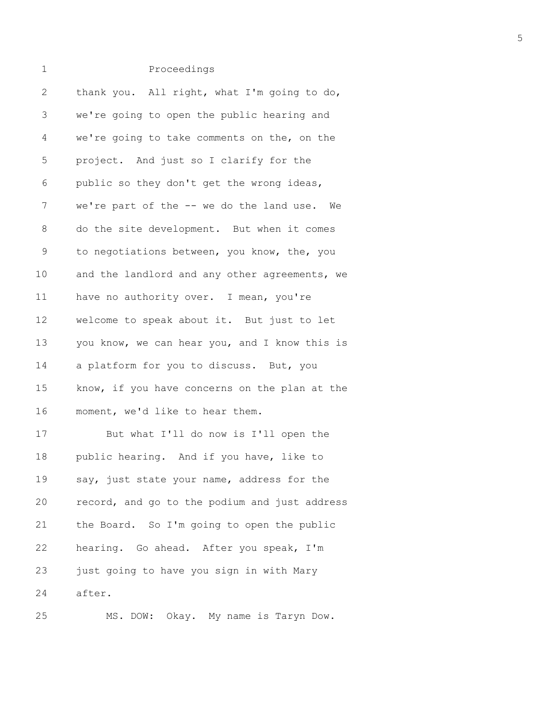# 1 Proceedings 2 thank you. All right, what I'm going to do, 3 we're going to open the public hearing and 4 we're going to take comments on the, on the 5 project. And just so I clarify for the 6 public so they don't get the wrong ideas, 7 we're part of the -- we do the land use. We 8 do the site development. But when it comes 9 to negotiations between, you know, the, you 10 and the landlord and any other agreements, we 11 have no authority over. I mean, you're 12 welcome to speak about it. But just to let 13 you know, we can hear you, and I know this is 14 a platform for you to discuss. But, you 15 know, if you have concerns on the plan at the 16 moment, we'd like to hear them. 17 But what I'll do now is I'll open the 18 public hearing. And if you have, like to 19 say, just state your name, address for the 20 record, and go to the podium and just address 21 the Board. So I'm going to open the public 22 hearing. Go ahead. After you speak, I'm 23 just going to have you sign in with Mary

24 after.

25 MS. DOW: Okay. My name is Taryn Dow.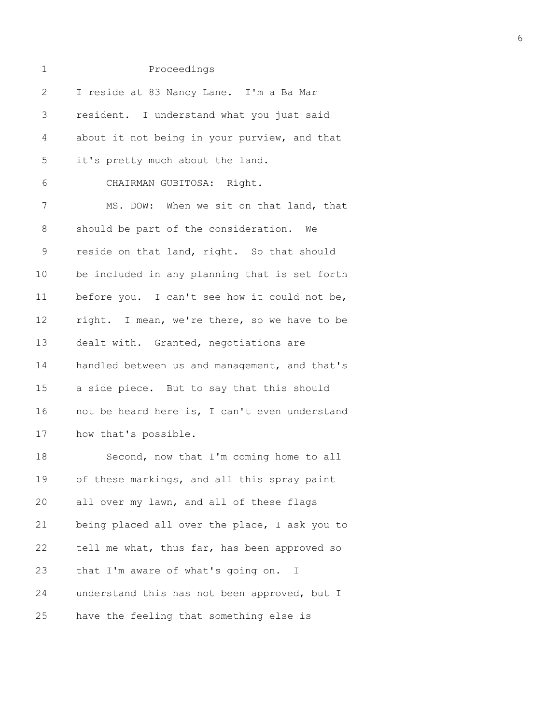| $\mathbf 1$  | Proceedings                                   |
|--------------|-----------------------------------------------|
| $\mathbf{2}$ | I reside at 83 Nancy Lane. I'm a Ba Mar       |
| 3            | resident. I understand what you just said     |
| 4            | about it not being in your purview, and that  |
| 5            | it's pretty much about the land.              |
| 6            | CHAIRMAN GUBITOSA: Right.                     |
| 7            | MS. DOW: When we sit on that land, that       |
| 8            | should be part of the consideration. We       |
| $\mathsf 9$  | reside on that land, right. So that should    |
| 10           | be included in any planning that is set forth |
| 11           | before you. I can't see how it could not be,  |
| 12           | right. I mean, we're there, so we have to be  |
| 13           | dealt with. Granted, negotiations are         |
| 14           | handled between us and management, and that's |
| 15           | a side piece. But to say that this should     |
| 16           | not be heard here is, I can't even understand |
| 17           | how that's possible.                          |
| 18           | Second, now that I'm coming home to all       |
| 19           | of these markings, and all this spray paint   |
| 20           | all over my lawn, and all of these flags      |
| 21           | being placed all over the place, I ask you to |
| 22           | tell me what, thus far, has been approved so  |
| 23           | that I'm aware of what's going on. I          |
| 24           | understand this has not been approved, but I  |

25 have the feeling that something else is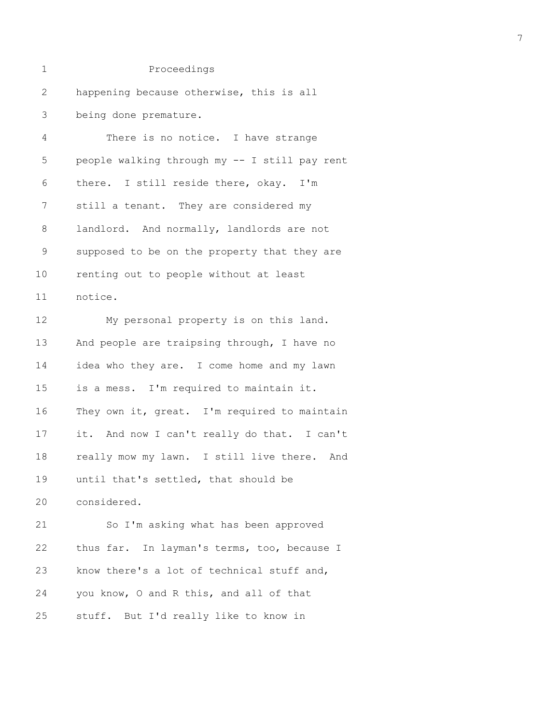| $\mathbf 1$  | Proceedings                                   |
|--------------|-----------------------------------------------|
| $\mathbf{2}$ | happening because otherwise, this is all      |
| 3            | being done premature.                         |
| 4            | There is no notice. I have strange            |
| 5            | people walking through my -- I still pay rent |
| 6            | there. I still reside there, okay. I'm        |
| 7            | still a tenant. They are considered my        |
| $\,8\,$      | landlord. And normally, landlords are not     |
| $\mathsf 9$  | supposed to be on the property that they are  |
| 10           | renting out to people without at least        |
| 11           | notice.                                       |
| 12           | My personal property is on this land.         |
| 13           | And people are traipsing through, I have no   |
| 14           | idea who they are. I come home and my lawn    |
| 15           | is a mess. I'm required to maintain it.       |
| 16           | They own it, great. I'm required to maintain  |
| 17           | it. And now I can't really do that. I can't   |
| 18           | really mow my lawn. I still live there. And   |
| 19           | until that's settled, that should be          |
| 20           | considered.                                   |
| 21           | So I'm asking what has been approved          |
| 22           | thus far. In layman's terms, too, because I   |
| 23           | know there's a lot of technical stuff and,    |
| 24           | you know, O and R this, and all of that       |
| 25           | stuff. But I'd really like to know in         |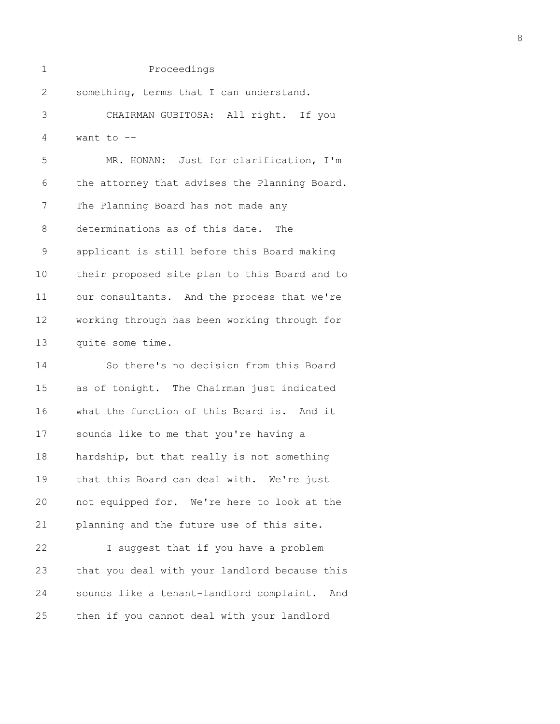1 Proceedings 2 something, terms that I can understand. 3 CHAIRMAN GUBITOSA: All right. If you 4 want to -- 5 MR. HONAN: Just for clarification, I'm 6 the attorney that advises the Planning Board. 7 The Planning Board has not made any 8 determinations as of this date. The 9 applicant is still before this Board making 10 their proposed site plan to this Board and to 11 our consultants. And the process that we're 12 working through has been working through for 13 quite some time.

14 So there's no decision from this Board 15 as of tonight. The Chairman just indicated 16 what the function of this Board is. And it 17 sounds like to me that you're having a 18 hardship, but that really is not something 19 that this Board can deal with. We're just 20 not equipped for. We're here to look at the 21 planning and the future use of this site. 22 I suggest that if you have a problem 23 that you deal with your landlord because this 24 sounds like a tenant-landlord complaint. And 25 then if you cannot deal with your landlord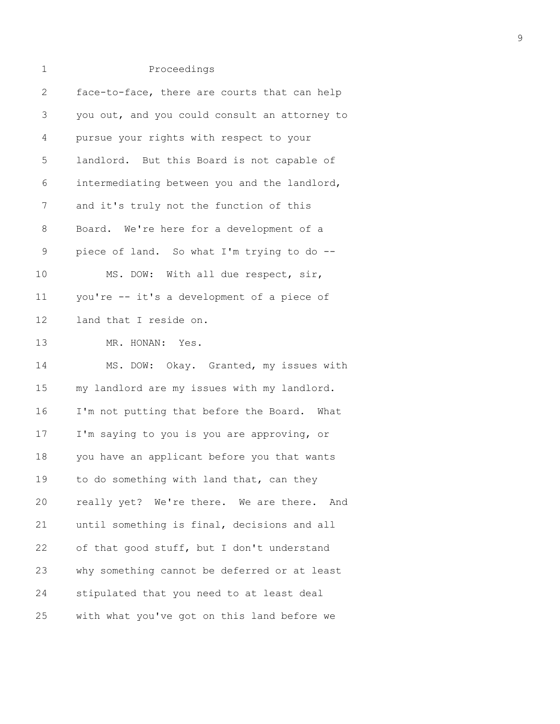| 2              | face-to-face, there are courts that can help  |
|----------------|-----------------------------------------------|
| $\mathfrak{Z}$ | you out, and you could consult an attorney to |
| 4              | pursue your rights with respect to your       |
| 5              | landlord. But this Board is not capable of    |
| 6              | intermediating between you and the landlord,  |
| 7              | and it's truly not the function of this       |
| 8              | Board. We're here for a development of a      |
| $\mathsf 9$    | piece of land. So what I'm trying to do --    |
| 10             | MS. DOW: With all due respect, sir,           |
| 11             | you're -- it's a development of a piece of    |
| 12             | land that I reside on.                        |
| 13             | MR. HONAN: Yes.                               |
| 14             | MS. DOW: Okay. Granted, my issues with        |
| 15             | my landlord are my issues with my landlord.   |
| 16             | I'm not putting that before the Board. What   |
| 17             | I'm saying to you is you are approving, or    |
| 18             | you have an applicant before you that wants   |
| 19             | to do something with land that, can they      |
| 20             | really yet? We're there. We are there. And    |
| 21             | until something is final, decisions and all   |
| 22             | of that good stuff, but I don't understand    |
| 23             | why something cannot be deferred or at least  |
| 24             | stipulated that you need to at least deal     |
| 25             | with what you've got on this land before we   |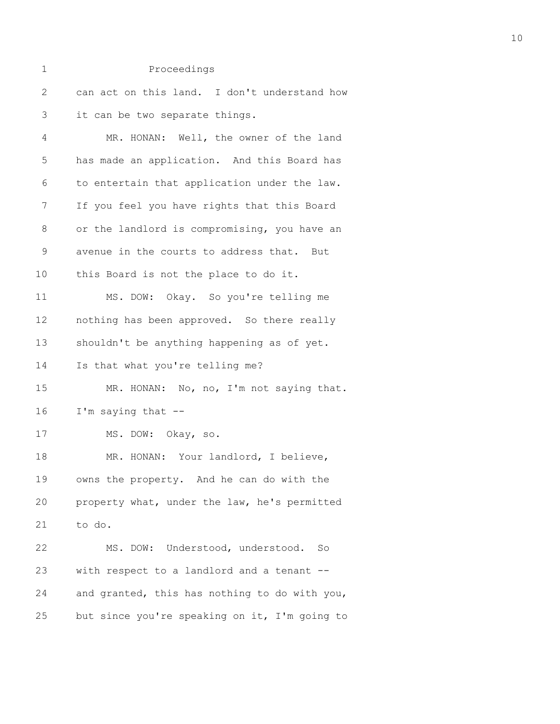| 1            | Proceedings                                   |
|--------------|-----------------------------------------------|
| $\mathbf{2}$ | can act on this land. I don't understand how  |
| 3            | it can be two separate things.                |
| 4            | MR. HONAN: Well, the owner of the land        |
| 5            | has made an application. And this Board has   |
| 6            | to entertain that application under the law.  |
| 7            | If you feel you have rights that this Board   |
| $\,8\,$      | or the landlord is compromising, you have an  |
| $\mathsf 9$  | avenue in the courts to address that. But     |
| 10           | this Board is not the place to do it.         |
| 11           | MS. DOW: Okay. So you're telling me           |
| 12           | nothing has been approved. So there really    |
| 13           | shouldn't be anything happening as of yet.    |
| 14           | Is that what you're telling me?               |
| 15           | MR. HONAN: No, no, I'm not saying that.       |
| 16           | I'm saying that --                            |
| 17           | MS. DOW: Okay, so.                            |
| 18           | MR. HONAN: Your landlord, I believe,          |
| 19           | owns the property. And he can do with the     |
| 20           | property what, under the law, he's permitted  |
| 21           | to do.                                        |
| 22           | MS. DOW: Understood, understood. So           |
| 23           | with respect to a landlord and a tenant --    |
| 24           | and granted, this has nothing to do with you, |
| 25           | but since you're speaking on it, I'm going to |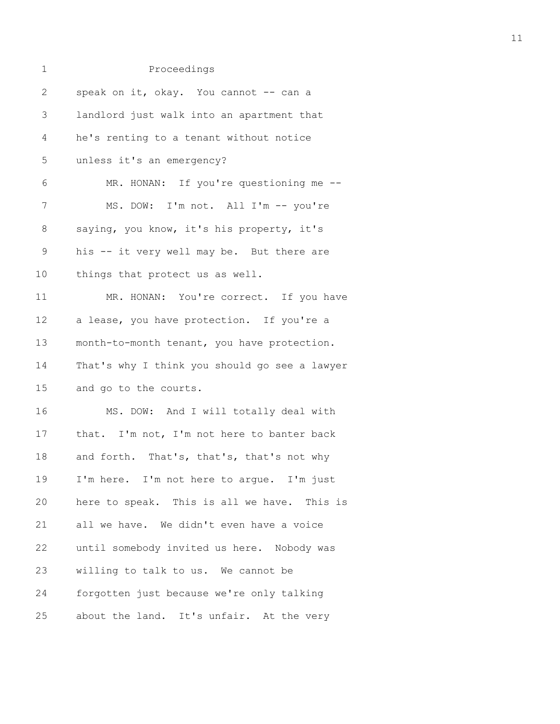| $\mathbf 1$  | Proceedings                                   |
|--------------|-----------------------------------------------|
| $\mathbf{2}$ | speak on it, okay. You cannot -- can a        |
| 3            | landlord just walk into an apartment that     |
| 4            | he's renting to a tenant without notice       |
| 5            | unless it's an emergency?                     |
| 6            | MR. HONAN: If you're questioning me --        |
| 7            | MS. DOW: I'm not. All I'm -- you're           |
| 8            | saying, you know, it's his property, it's     |
| $\mathsf 9$  | his -- it very well may be. But there are     |
| 10           | things that protect us as well.               |
| 11           | MR. HONAN: You're correct. If you have        |
| 12           | a lease, you have protection. If you're a     |
| 13           | month-to-month tenant, you have protection.   |
| 14           | That's why I think you should go see a lawyer |
| 15           | and go to the courts.                         |
| 16           | MS. DOW: And I will totally deal with         |
| 17           | that. I'm not, I'm not here to banter back    |
| 18           | and forth. That's, that's, that's not why     |
| 19           | I'm here. I'm not here to argue. I'm just     |
| 20           | here to speak. This is all we have. This is   |
| 21           | all we have. We didn't even have a voice      |
| 22           | until somebody invited us here. Nobody was    |
| 23           | willing to talk to us. We cannot be           |
| 24           | forgotten just because we're only talking     |
| 25           | about the land. It's unfair. At the very      |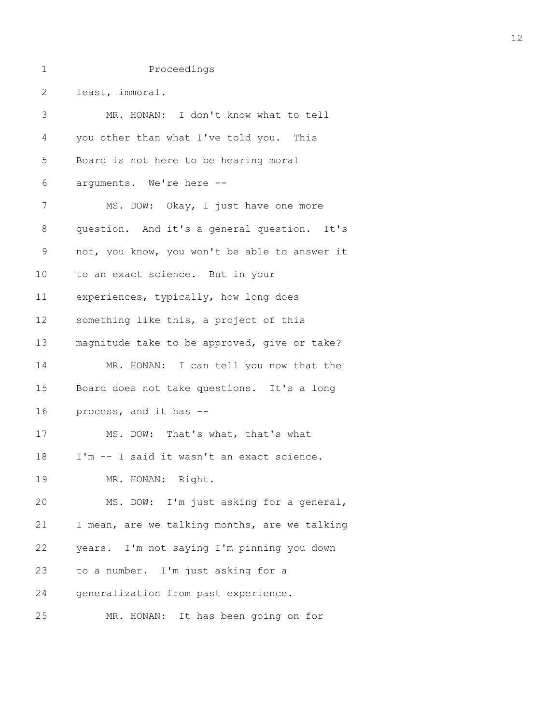| 2  | least, immoral.                               |
|----|-----------------------------------------------|
| 3  | MR. HONAN: I don't know what to tell          |
| 4  | you other than what I've told you. This       |
| 5  | Board is not here to be hearing moral         |
| 6  | arguments. We're here --                      |
| 7  | MS. DOW: Okay, I just have one more           |
| 8  | question. And it's a general question. It's   |
| 9  | not, you know, you won't be able to answer it |
| 10 | to an exact science. But in your              |
| 11 | experiences, typically, how long does         |
| 12 | something like this, a project of this        |
| 13 | magnitude take to be approved, give or take?  |
| 14 | MR. HONAN: I can tell you now that the        |
| 15 | Board does not take questions. It's a long    |
| 16 | process, and it has --                        |
| 17 | MS. DOW: That's what, that's what             |
| 18 | I'm -- I said it wasn't an exact science.     |
| 19 | MR. HONAN: Right.                             |
| 20 | MS. DOW: I'm just asking for a general,       |
| 21 | I mean, are we talking months, are we talking |
| 22 | years. I'm not saying I'm pinning you down    |
| 23 | to a number. I'm just asking for a            |
| 24 | generalization from past experience.          |
| 25 | MR. HONAN:<br>It has been going on for        |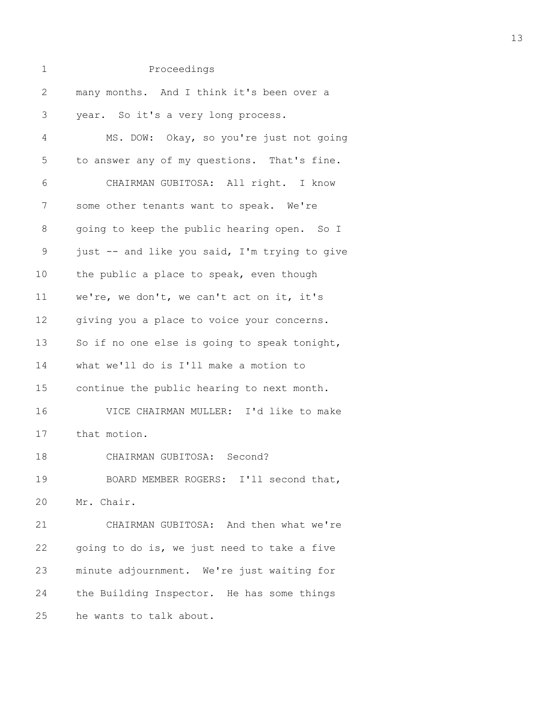| 1            | Proceedings                                   |
|--------------|-----------------------------------------------|
| $\mathbf{2}$ | many months. And I think it's been over a     |
| 3            | year. So it's a very long process.            |
| 4            | MS. DOW: Okay, so you're just not going       |
| 5            | to answer any of my questions. That's fine.   |
| 6            | CHAIRMAN GUBITOSA: All right. I know          |
| 7            | some other tenants want to speak. We're       |
| 8            | going to keep the public hearing open. So I   |
| 9            | just -- and like you said, I'm trying to give |
| 10           | the public a place to speak, even though      |
| 11           | we're, we don't, we can't act on it, it's     |
| 12           | giving you a place to voice your concerns.    |
| 13           | So if no one else is going to speak tonight,  |
| 14           | what we'll do is I'll make a motion to        |
| 15           | continue the public hearing to next month.    |
| 16           | VICE CHAIRMAN MULLER: I'd like to make        |
| 17           | that motion.                                  |
| 18           | CHAIRMAN GUBITOSA: Second?                    |
| 19           | BOARD MEMBER ROGERS: I'll second that,        |
| 20           | Mr. Chair.                                    |
| 21           | CHAIRMAN GUBITOSA: And then what we're        |
| 22           | going to do is, we just need to take a five   |
| 23           | minute adjournment. We're just waiting for    |
| 24           | the Building Inspector. He has some things    |
| 25           | he wants to talk about.                       |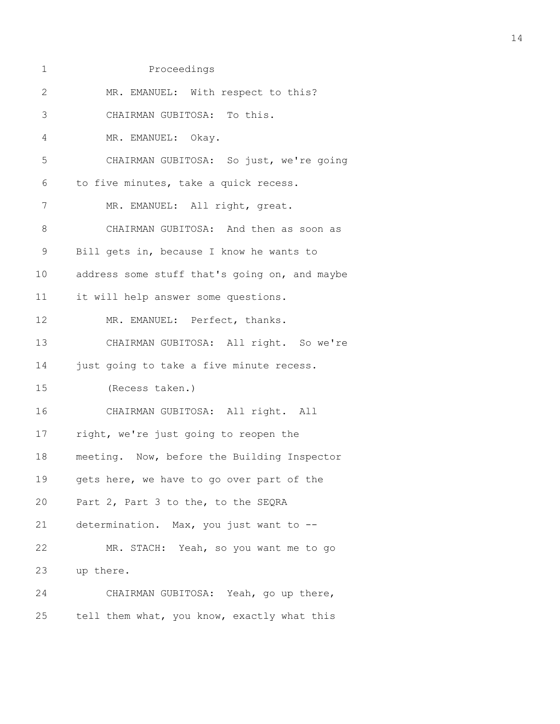| $\mathbf{2}$ | MR. EMANUEL: With respect to this?            |
|--------------|-----------------------------------------------|
| 3            | CHAIRMAN GUBITOSA: To this.                   |
| 4            | MR. EMANUEL: Okay.                            |
| 5            | CHAIRMAN GUBITOSA: So just, we're going       |
| 6            | to five minutes, take a quick recess.         |
| 7            | MR. EMANUEL: All right, great.                |
| $\,8\,$      | CHAIRMAN GUBITOSA: And then as soon as        |
| $\mathsf 9$  | Bill gets in, because I know he wants to      |
| 10           | address some stuff that's going on, and maybe |
| 11           | it will help answer some questions.           |
| 12           | MR. EMANUEL: Perfect, thanks.                 |
| 13           | CHAIRMAN GUBITOSA: All right. So we're        |
| 14           | just going to take a five minute recess.      |
| 15           | (Recess taken.)                               |
| 16           | CHAIRMAN GUBITOSA: All right. All             |
| 17           | right, we're just going to reopen the         |
| 18           | meeting. Now, before the Building Inspector   |
| 19           | gets here, we have to go over part of the     |
| 20           | Part 2, Part 3 to the, to the SEQRA           |
| 21           | determination. Max, you just want to --       |
| 22           | MR. STACH: Yeah, so you want me to go         |
| 23           | up there.                                     |
| 24           | CHAIRMAN GUBITOSA: Yeah, go up there,         |
| 25           | tell them what, you know, exactly what this   |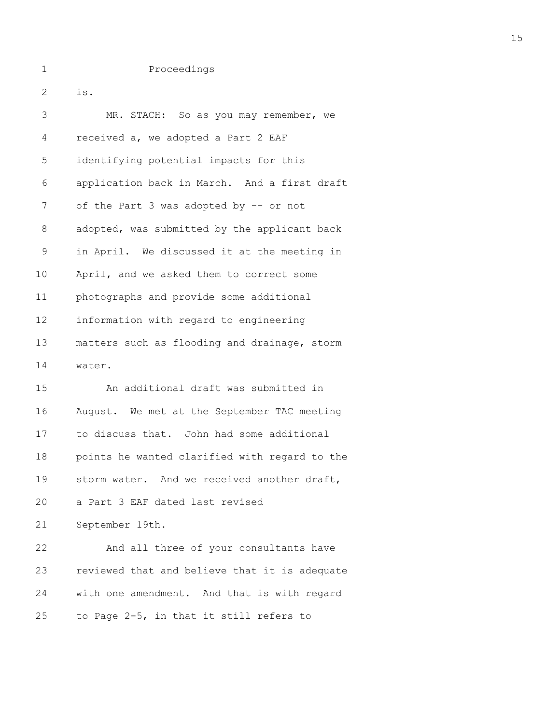1 Proceedings 2 is. 3 MR. STACH: So as you may remember, we 4 received a, we adopted a Part 2 EAF 5 identifying potential impacts for this 6 application back in March. And a first draft 7 of the Part 3 was adopted by -- or not 8 adopted, was submitted by the applicant back 9 in April. We discussed it at the meeting in 10 April, and we asked them to correct some 11 photographs and provide some additional 12 information with regard to engineering 13 matters such as flooding and drainage, storm 14 water. 15 An additional draft was submitted in 16 August. We met at the September TAC meeting 17 to discuss that. John had some additional

19 storm water. And we received another draft, 20 a Part 3 EAF dated last revised 21 September 19th. 22 And all three of your consultants have 23 reviewed that and believe that it is adequate 24 with one amendment. And that is with regard

18 points he wanted clarified with regard to the

25 to Page 2-5, in that it still refers to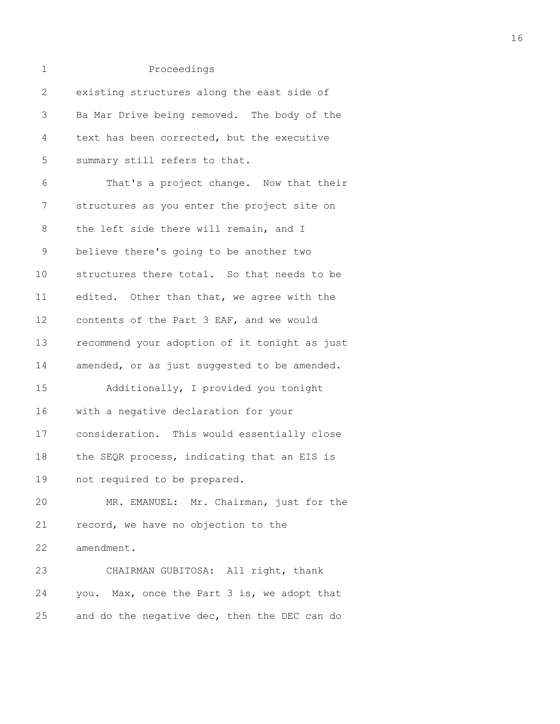1 Proceedings 2 existing structures along the east side of 3 Ba Mar Drive being removed. The body of the 4 text has been corrected, but the executive 5 summary still refers to that. 6 That's a project change. Now that their 7 structures as you enter the project site on 8 the left side there will remain, and I 9 believe there's going to be another two 10 structures there total. So that needs to be 11 edited. Other than that, we agree with the 12 contents of the Part 3 EAF, and we would 13 recommend your adoption of it tonight as just 14 amended, or as just suggested to be amended. 15 Additionally, I provided you tonight 16 with a negative declaration for your 17 consideration. This would essentially close 18 the SEQR process, indicating that an EIS is 19 not required to be prepared. 20 MR. EMANUEL: Mr. Chairman, just for the 21 record, we have no objection to the 22 amendment. 23 CHAIRMAN GUBITOSA: All right, thank 24 you. Max, once the Part 3 is, we adopt that 25 and do the negative dec, then the DEC can do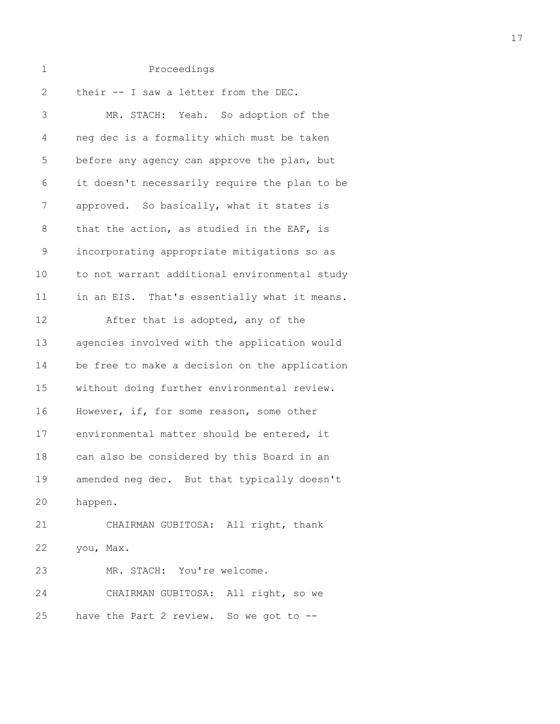| $\overline{2}$ | their -- I saw a letter from the DEC.         |
|----------------|-----------------------------------------------|
| 3              | MR. STACH: Yeah. So adoption of the           |
| 4              | neg dec is a formality which must be taken    |
| 5              | before any agency can approve the plan, but   |
| 6              | it doesn't necessarily require the plan to be |
| 7              | approved. So basically, what it states is     |
| 8              | that the action, as studied in the EAF, is    |
| 9              | incorporating appropriate mitigations so as   |
| 10             | to not warrant additional environmental study |
| 11             | in an EIS. That's essentially what it means.  |
| 12             | After that is adopted, any of the             |
| 13             | agencies involved with the application would  |
| 14             | be free to make a decision on the application |
| 15             | without doing further environmental review.   |
| 16             | However, if, for some reason, some other      |
| 17             | environmental matter should be entered, it    |
| 18             | can also be considered by this Board in an    |
| 19             | amended neg dec. But that typically doesn't   |
| 20             | happen.                                       |
| 21             | CHAIRMAN GUBITOSA: All right, thank           |
| 22             | you, Max.                                     |
| 23             | MR. STACH: You're welcome.                    |
| 24             | CHAIRMAN GUBITOSA: All right, so we           |
| 25             | have the Part 2 review. So we got to --       |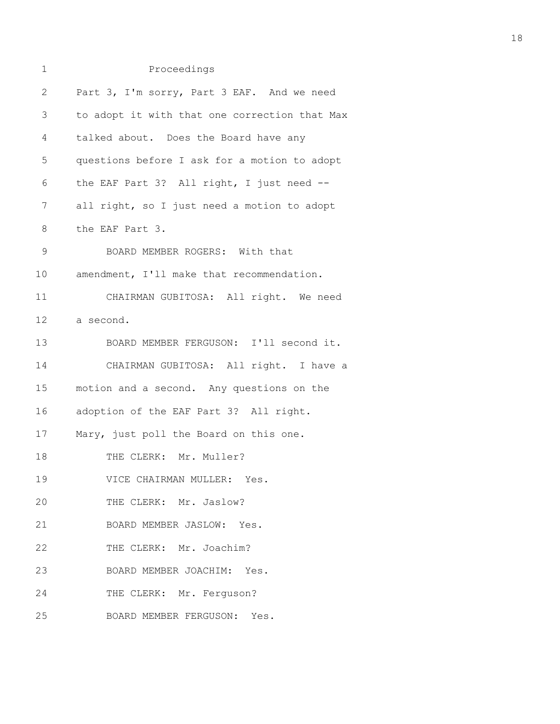# 1 Proceedings 2 Part 3, I'm sorry, Part 3 EAF. And we need 3 to adopt it with that one correction that Max 4 talked about. Does the Board have any 5 questions before I ask for a motion to adopt 6 the EAF Part 3? All right, I just need -- 7 all right, so I just need a motion to adopt 8 the EAF Part 3. 9 BOARD MEMBER ROGERS: With that 10 amendment, I'll make that recommendation. 11 CHAIRMAN GUBITOSA: All right. We need 12 a second. 13 BOARD MEMBER FERGUSON: I'll second it. 14 CHAIRMAN GUBITOSA: All right. I have a 15 motion and a second. Any questions on the 16 adoption of the EAF Part 3? All right. 17 Mary, just poll the Board on this one. 18 THE CLERK: Mr. Muller? 19 VICE CHAIRMAN MULLER: Yes. 20 THE CLERK: Mr. Jaslow? 21 BOARD MEMBER JASLOW: Yes. 22 THE CLERK: Mr. Joachim? 23 BOARD MEMBER JOACHIM: Yes. 24 THE CLERK: Mr. Ferguson?

25 BOARD MEMBER FERGUSON: Yes.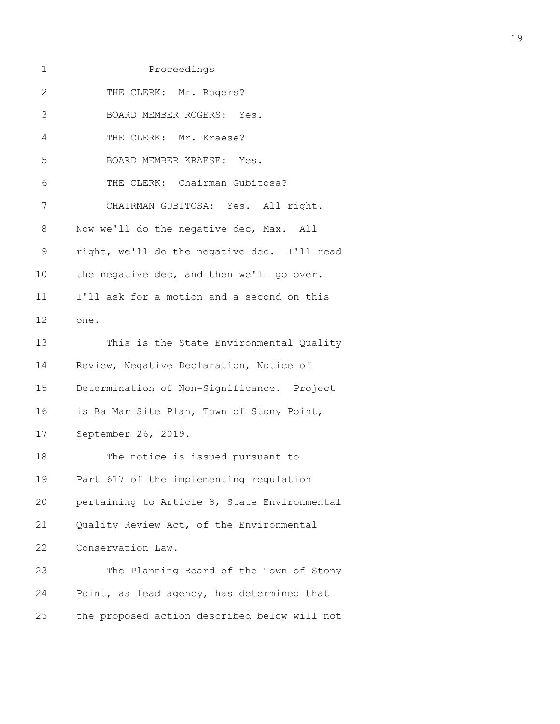| 1            | Proceedings                                  |
|--------------|----------------------------------------------|
| $\mathbf{2}$ | THE CLERK: Mr. Rogers?                       |
| 3            | BOARD MEMBER ROGERS: Yes.                    |
| 4            | THE CLERK: Mr. Kraese?                       |
| 5            | BOARD MEMBER KRAESE: Yes.                    |
| 6            | THE CLERK: Chairman Gubitosa?                |
| 7            | CHAIRMAN GUBITOSA: Yes. All right.           |
| 8            | Now we'll do the negative dec, Max. All      |
| 9            | right, we'll do the negative dec. I'll read  |
| 10           | the negative dec, and then we'll go over.    |
| 11           | I'll ask for a motion and a second on this   |
| 12           | one.                                         |
| 13           | This is the State Environmental Quality      |
| 14           | Review, Negative Declaration, Notice of      |
| 15           | Determination of Non-Significance. Project   |
| 16           | is Ba Mar Site Plan, Town of Stony Point,    |
| 17           | September 26, 2019.                          |
| 18           | The notice is issued pursuant to             |
| 19           | Part 617 of the implementing regulation      |
| 20           | pertaining to Article 8, State Environmental |
| 21           | Quality Review Act, of the Environmental     |
| 22           | Conservation Law.                            |
| 23           | The Planning Board of the Town of Stony      |
| 24           | Point, as lead agency, has determined that   |
| 25           | the proposed action described below will not |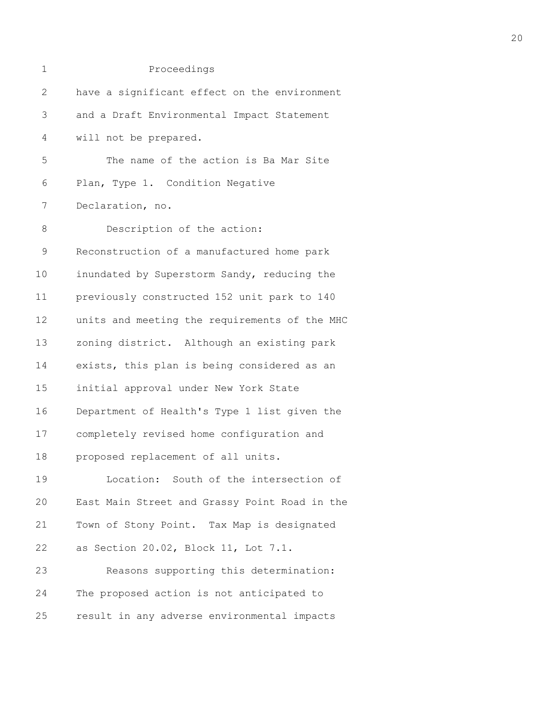| 1            | Proceedings                                   |
|--------------|-----------------------------------------------|
| $\mathbf{2}$ | have a significant effect on the environment  |
| 3            | and a Draft Environmental Impact Statement    |
| 4            | will not be prepared.                         |
| 5            | The name of the action is Ba Mar Site         |
| 6            | Plan, Type 1. Condition Negative              |
| 7            | Declaration, no.                              |
| $8\,$        | Description of the action:                    |
| $\mathsf 9$  | Reconstruction of a manufactured home park    |
| 10           | inundated by Superstorm Sandy, reducing the   |
| 11           | previously constructed 152 unit park to 140   |
| 12           | units and meeting the requirements of the MHC |
| 13           | zoning district. Although an existing park    |
| 14           | exists, this plan is being considered as an   |
| 15           | initial approval under New York State         |
| 16           | Department of Health's Type 1 list given the  |
| 17           | completely revised home configuration and     |
| 18           | proposed replacement of all units.            |
| 19           | Location: South of the intersection of        |
| 20           | East Main Street and Grassy Point Road in the |
| 21           | Town of Stony Point. Tax Map is designated    |
| 22           | as Section 20.02, Block 11, Lot 7.1.          |
| 23           | Reasons supporting this determination:        |
| 24           | The proposed action is not anticipated to     |
| 25           | result in any adverse environmental impacts   |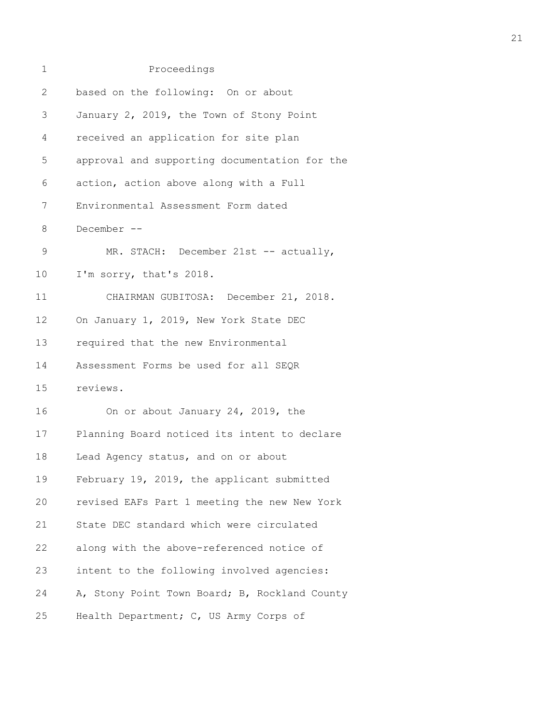| 1            | Proceedings                                   |
|--------------|-----------------------------------------------|
| $\mathbf{2}$ | based on the following: On or about           |
| 3            | January 2, 2019, the Town of Stony Point      |
| 4            | received an application for site plan         |
| 5            | approval and supporting documentation for the |
| 6            | action, action above along with a Full        |
| 7            | Environmental Assessment Form dated           |
| 8            | December --                                   |
| $\mathsf 9$  | MR. STACH: December 21st -- actually,         |
| $10 \,$      | I'm sorry, that's 2018.                       |
| 11           | CHAIRMAN GUBITOSA: December 21, 2018.         |
| 12           | On January 1, 2019, New York State DEC        |
| 13           | required that the new Environmental           |
| 14           | Assessment Forms be used for all SEQR         |
| 15           | reviews.                                      |
| 16           | On or about January 24, 2019, the             |
| 17           | Planning Board noticed its intent to declare  |
| 18           | Lead Agency status, and on or about           |
| 19           | February 19, 2019, the applicant submitted    |
| 20           | revised EAFs Part 1 meeting the new New York  |
| 21           | State DEC standard which were circulated      |
| 22           | along with the above-referenced notice of     |
| 23           | intent to the following involved agencies:    |
| 24           | A, Stony Point Town Board; B, Rockland County |
| 25           | Health Department; C, US Army Corps of        |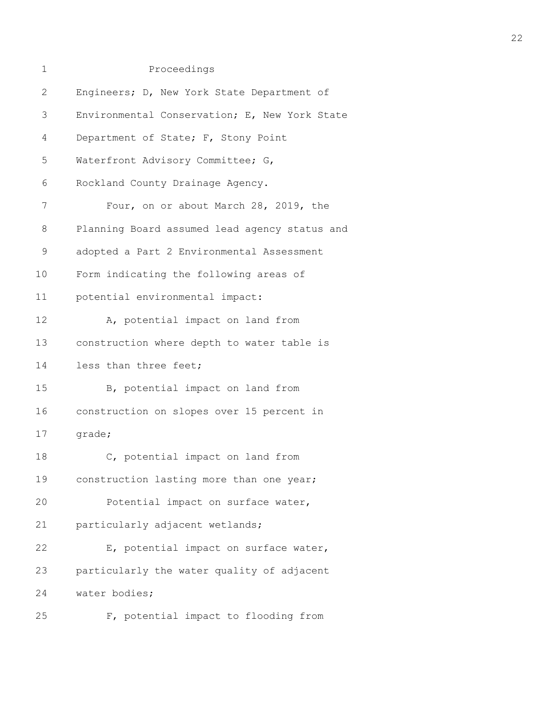| 1            | Proceedings                                   |  |  |
|--------------|-----------------------------------------------|--|--|
| $\mathbf{2}$ | Engineers; D, New York State Department of    |  |  |
| 3            | Environmental Conservation; E, New York State |  |  |
| 4            | Department of State; F, Stony Point           |  |  |
| 5            | Waterfront Advisory Committee; G,             |  |  |
| 6            | Rockland County Drainage Agency.              |  |  |
| 7            | Four, on or about March 28, 2019, the         |  |  |
| 8            | Planning Board assumed lead agency status and |  |  |
| 9            | adopted a Part 2 Environmental Assessment     |  |  |
| 10           | Form indicating the following areas of        |  |  |
| 11           | potential environmental impact:               |  |  |
| 12           | A, potential impact on land from              |  |  |
| 13           | construction where depth to water table is    |  |  |
| 14           | less than three feet;                         |  |  |
| 15           | B, potential impact on land from              |  |  |
| 16           | construction on slopes over 15 percent in     |  |  |
| 17           | grade;                                        |  |  |
| 18           | C, potential impact on land from              |  |  |
| 19           | construction lasting more than one year;      |  |  |
| 20           | Potential impact on surface water,            |  |  |
| 21           | particularly adjacent wetlands;               |  |  |
| 22           | E, potential impact on surface water,         |  |  |
| 23           | particularly the water quality of adjacent    |  |  |
| 24           | water bodies;                                 |  |  |
| 25           | F, potential impact to flooding from          |  |  |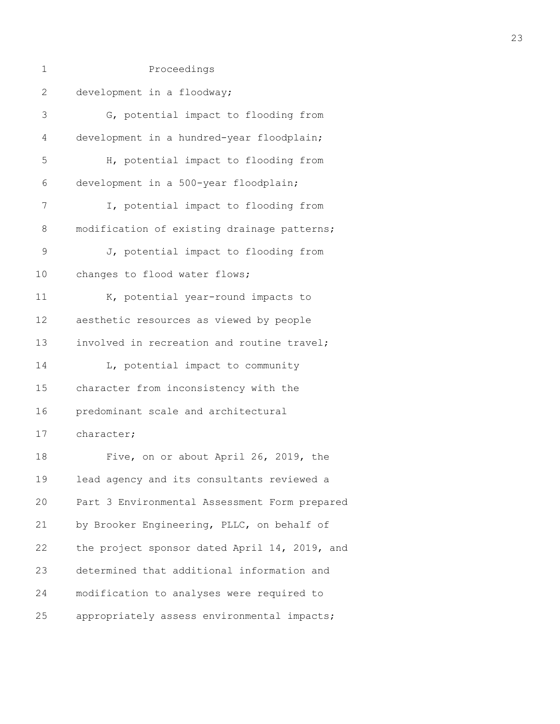| $\mathbf 1$ | Proceedings                                   |
|-------------|-----------------------------------------------|
| 2           | development in a floodway;                    |
| 3           | G, potential impact to flooding from          |
| 4           | development in a hundred-year floodplain;     |
| 5           | H, potential impact to flooding from          |
| 6           | development in a 500-year floodplain;         |
| 7           | I, potential impact to flooding from          |
| 8           | modification of existing drainage patterns;   |
| $\mathsf 9$ | J, potential impact to flooding from          |
| 10          | changes to flood water flows;                 |
| 11          | K, potential year-round impacts to            |
| 12          | aesthetic resources as viewed by people       |
| 13          | involved in recreation and routine travel;    |
| 14          | L, potential impact to community              |
| 15          | character from inconsistency with the         |
| 16          | predominant scale and architectural           |
| 17          | character;                                    |
| 18          | Five, on or about April 26, 2019, the         |
| 19          | lead agency and its consultants reviewed a    |
| 20          | Part 3 Environmental Assessment Form prepared |
| 21          | by Brooker Engineering, PLLC, on behalf of    |
| 22          | the project sponsor dated April 14, 2019, and |
| 23          | determined that additional information and    |
| 24          | modification to analyses were required to     |
| 25          | appropriately assess environmental impacts;   |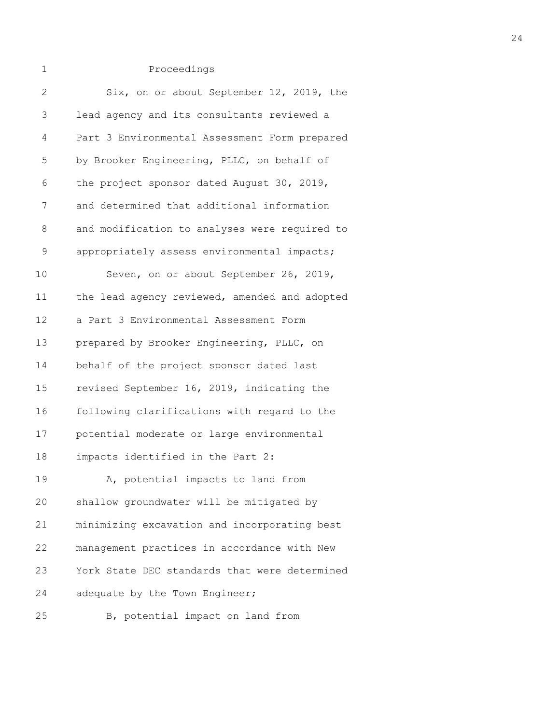| 2  | Six, on or about September 12, 2019, the      |
|----|-----------------------------------------------|
| 3  | lead agency and its consultants reviewed a    |
| 4  | Part 3 Environmental Assessment Form prepared |
| 5  | by Brooker Engineering, PLLC, on behalf of    |
| 6  | the project sponsor dated August 30, 2019,    |
| 7  | and determined that additional information    |
| 8  | and modification to analyses were required to |
| 9  | appropriately assess environmental impacts;   |
| 10 | Seven, on or about September 26, 2019,        |
| 11 | the lead agency reviewed, amended and adopted |
| 12 | a Part 3 Environmental Assessment Form        |
| 13 | prepared by Brooker Engineering, PLLC, on     |
| 14 | behalf of the project sponsor dated last      |
| 15 | revised September 16, 2019, indicating the    |
| 16 | following clarifications with regard to the   |
| 17 | potential moderate or large environmental     |
| 18 | impacts identified in the Part 2:             |
| 19 | A, potential impacts to land from             |
| 20 | shallow groundwater will be mitigated by      |
| 21 | minimizing excavation and incorporating best  |
| 22 | management practices in accordance with New   |
| 23 | York State DEC standards that were determined |
| 24 | adequate by the Town Engineer;                |
| 25 | B, potential impact on land from              |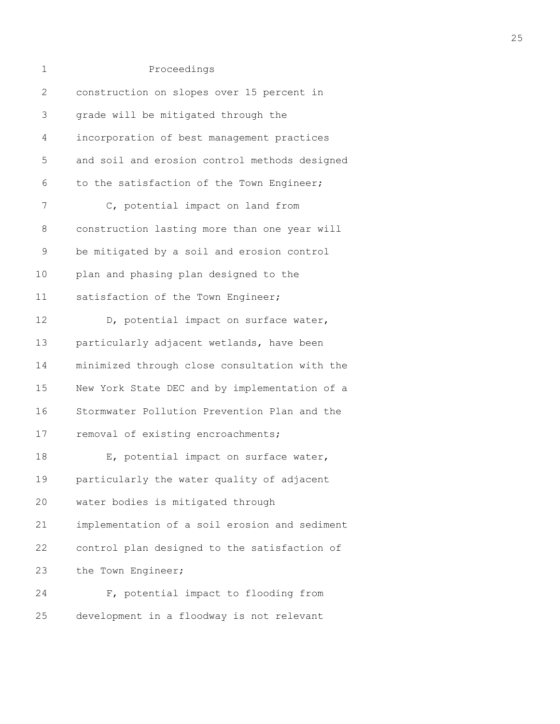| 1            | Proceedings                                   |
|--------------|-----------------------------------------------|
| $\mathbf{2}$ | construction on slopes over 15 percent in     |
| 3            | grade will be mitigated through the           |
| 4            | incorporation of best management practices    |
| 5            | and soil and erosion control methods designed |
| 6            | to the satisfaction of the Town Engineer;     |
| 7            | C, potential impact on land from              |
| 8            | construction lasting more than one year will  |
| $\mathsf 9$  | be mitigated by a soil and erosion control    |
| 10           | plan and phasing plan designed to the         |
| 11           | satisfaction of the Town Engineer;            |
| 12           | D, potential impact on surface water,         |
| 13           | particularly adjacent wetlands, have been     |
| 14           | minimized through close consultation with the |
| 15           | New York State DEC and by implementation of a |
| 16           | Stormwater Pollution Prevention Plan and the  |
| 17           | removal of existing encroachments;            |
| 18           | E, potential impact on surface water,         |
| 19           | particularly the water quality of adjacent    |
| 20           | water bodies is mitigated through             |
| 21           | implementation of a soil erosion and sediment |
| 22           | control plan designed to the satisfaction of  |
| 23           | the Town Engineer;                            |
| 24           | F, potential impact to flooding from          |
| 25           | development in a floodway is not relevant     |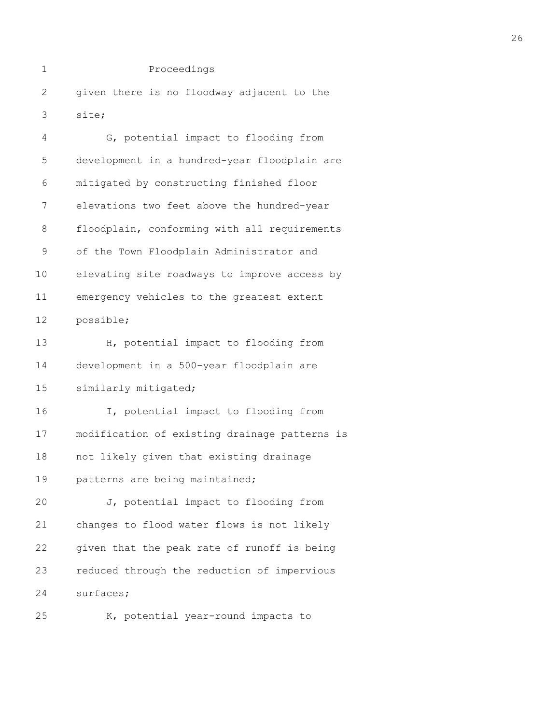2 given there is no floodway adjacent to the 3 site;

| 4           | G, potential impact to flooding from          |  |  |  |
|-------------|-----------------------------------------------|--|--|--|
| 5           | development in a hundred-year floodplain are  |  |  |  |
| 6           | mitigated by constructing finished floor      |  |  |  |
| 7           | elevations two feet above the hundred-year    |  |  |  |
| 8           | floodplain, conforming with all requirements  |  |  |  |
| $\mathsf 9$ | of the Town Floodplain Administrator and      |  |  |  |
| 10          | elevating site roadways to improve access by  |  |  |  |
| 11          | emergency vehicles to the greatest extent     |  |  |  |
| 12          | possible;                                     |  |  |  |
| 13          | H, potential impact to flooding from          |  |  |  |
| 14          | development in a 500-year floodplain are      |  |  |  |
| 15          | similarly mitigated;                          |  |  |  |
| 16          | I, potential impact to flooding from          |  |  |  |
| 17          | modification of existing drainage patterns is |  |  |  |
| 18          | not likely given that existing drainage       |  |  |  |
| 19          | patterns are being maintained;                |  |  |  |
| 20          | J, potential impact to flooding from          |  |  |  |
| 21          | changes to flood water flows is not likely    |  |  |  |
| 22          | given that the peak rate of runoff is being   |  |  |  |
| 23          | reduced through the reduction of impervious   |  |  |  |
| 24          | surfaces;                                     |  |  |  |
| 25          | K, potential year-round impacts to            |  |  |  |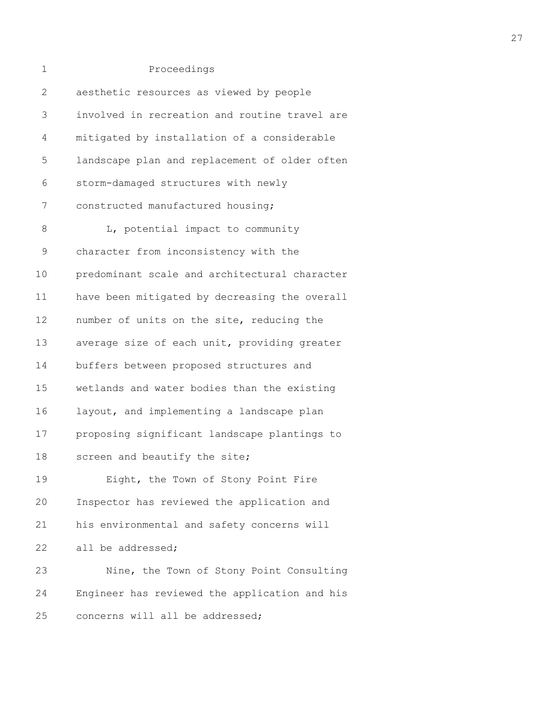| 1            | Proceedings                                   |
|--------------|-----------------------------------------------|
| $\mathbf{2}$ | aesthetic resources as viewed by people       |
| 3            | involved in recreation and routine travel are |
| 4            | mitigated by installation of a considerable   |
| 5            | landscape plan and replacement of older often |
| 6            | storm-damaged structures with newly           |
| 7            | constructed manufactured housing;             |
| 8            | L, potential impact to community              |
| $\mathsf 9$  | character from inconsistency with the         |
| 10           | predominant scale and architectural character |
| 11           | have been mitigated by decreasing the overall |
| 12           | number of units on the site, reducing the     |
| 13           | average size of each unit, providing greater  |
| 14           | buffers between proposed structures and       |
| 15           | wetlands and water bodies than the existing   |
| 16           | layout, and implementing a landscape plan     |
| 17           | proposing significant landscape plantings to  |
| 18           | screen and beautify the site;                 |
| 19           | Eight, the Town of Stony Point Fire           |
| 20           | Inspector has reviewed the application and    |
| 21           | his environmental and safety concerns will    |
| 22           | all be addressed;                             |
| 23           | Nine, the Town of Stony Point Consulting      |
| 24           | Engineer has reviewed the application and his |
| 25           | concerns will all be addressed;               |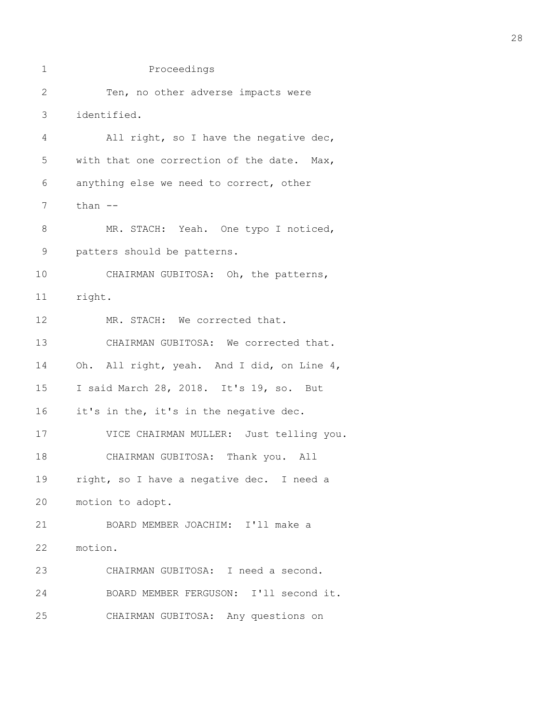```
1 Proceedings
2 Ten, no other adverse impacts were
3 identified.
4 All right, so I have the negative dec,
5 with that one correction of the date. Max,
6 anything else we need to correct, other
7 than -8 MR. STACH: Yeah. One typo I noticed,
9 patters should be patterns.
10 CHAIRMAN GUBITOSA: Oh, the patterns,
11 right.
12 MR. STACH: We corrected that.
13 CHAIRMAN GUBITOSA: We corrected that.
14 Oh. All right, yeah. And I did, on Line 4,
15 I said March 28, 2018. It's 19, so. But
16 it's in the, it's in the negative dec.
17 VICE CHAIRMAN MULLER: Just telling you.
18 CHAIRMAN GUBITOSA: Thank you. All
19 right, so I have a negative dec. I need a
20 motion to adopt.
21 BOARD MEMBER JOACHIM: I'll make a
22 motion.
23 CHAIRMAN GUBITOSA: I need a second.
24 BOARD MEMBER FERGUSON: I'll second it.
25 CHAIRMAN GUBITOSA: Any questions on
```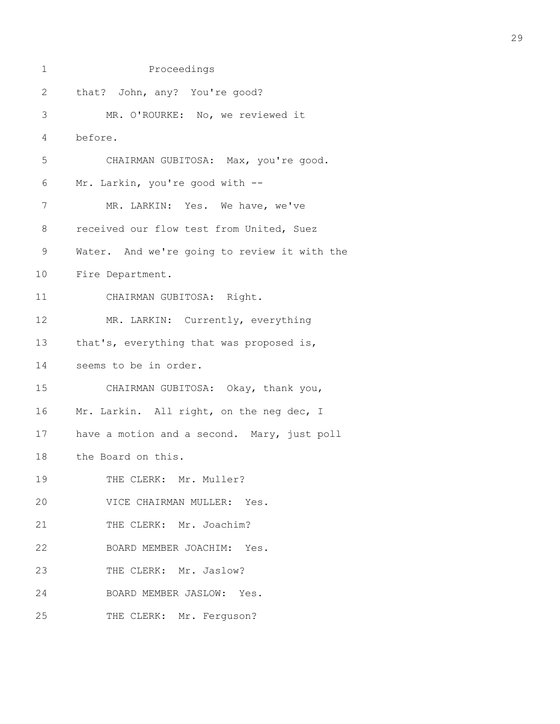| 1            | Proceedings                                  |
|--------------|----------------------------------------------|
| $\mathbf{2}$ | that? John, any? You're good?                |
| 3            | MR. O'ROURKE: No, we reviewed it             |
| 4            | before.                                      |
| 5            | CHAIRMAN GUBITOSA: Max, you're good.         |
| 6            | Mr. Larkin, you're good with --              |
| 7            | MR. LARKIN: Yes. We have, we've              |
| 8            | received our flow test from United, Suez     |
| $\mathsf 9$  | Water. And we're going to review it with the |
| 10           | Fire Department.                             |
| 11           | CHAIRMAN GUBITOSA: Right.                    |
| 12           | MR. LARKIN: Currently, everything            |
| 13           | that's, everything that was proposed is,     |
| 14           | seems to be in order.                        |
| 15           | CHAIRMAN GUBITOSA: Okay, thank you,          |
| 16           | Mr. Larkin. All right, on the neg dec, I     |
| 17           | have a motion and a second. Mary, just poll  |
| 18           | the Board on this.                           |
| 19           | THE CLERK: Mr. Muller?                       |
| 20           | VICE CHAIRMAN MULLER: Yes.                   |
| 21           | THE CLERK: Mr. Joachim?                      |
| 22           | BOARD MEMBER JOACHIM: Yes.                   |
| 23           | THE CLERK: Mr. Jaslow?                       |
| 24           | BOARD MEMBER JASLOW: Yes.                    |
| 25           | THE CLERK: Mr. Ferguson?                     |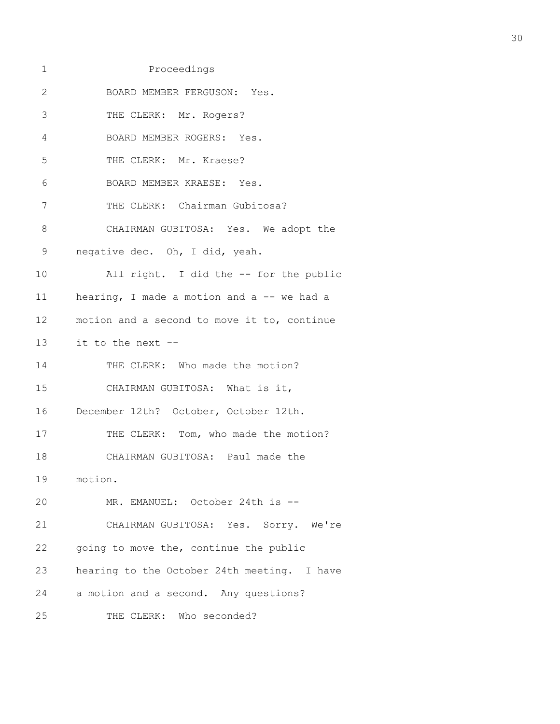1 Proceedings 2 BOARD MEMBER FERGUSON: Yes. 3 THE CLERK: Mr. Rogers? 4 BOARD MEMBER ROGERS: Yes. 5 THE CLERK: Mr. Kraese? 6 BOARD MEMBER KRAESE: Yes. 7 THE CLERK: Chairman Gubitosa? 8 CHAIRMAN GUBITOSA: Yes. We adopt the 9 negative dec. Oh, I did, yeah. 10 All right. I did the -- for the public 11 hearing, I made a motion and a -- we had a 12 motion and a second to move it to, continue 13 it to the next -- 14 THE CLERK: Who made the motion? 15 CHAIRMAN GUBITOSA: What is it, 16 December 12th? October, October 12th. 17 THE CLERK: Tom, who made the motion? 18 CHAIRMAN GUBITOSA: Paul made the 19 motion. 20 MR. EMANUEL: October 24th is -- 21 CHAIRMAN GUBITOSA: Yes. Sorry. We're 22 going to move the, continue the public 23 hearing to the October 24th meeting. I have 24 a motion and a second. Any questions? 25 THE CLERK: Who seconded?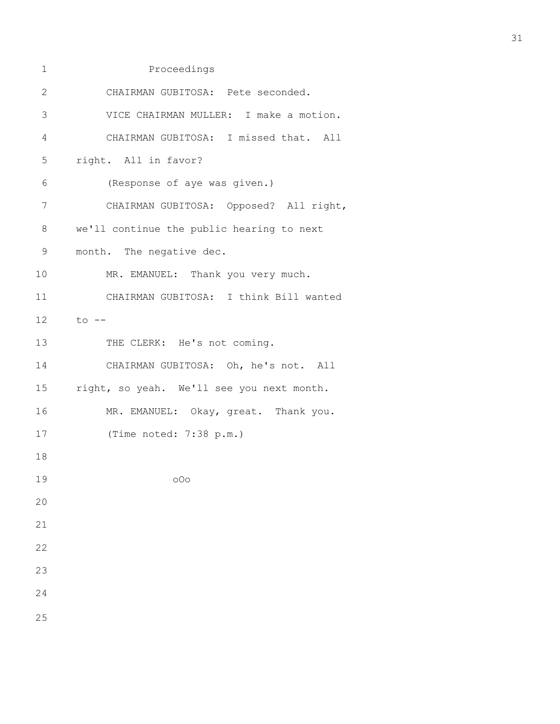| 1            | Proceedings                               |
|--------------|-------------------------------------------|
| $\mathbf{2}$ | CHAIRMAN GUBITOSA: Pete seconded.         |
| 3            | VICE CHAIRMAN MULLER: I make a motion.    |
| 4            | CHAIRMAN GUBITOSA: I missed that. All     |
| 5            | right. All in favor?                      |
| 6            | (Response of aye was given.)              |
| 7            | CHAIRMAN GUBITOSA: Opposed? All right,    |
| $\,8\,$      | we'll continue the public hearing to next |
| 9            | month. The negative dec.                  |
| 10           | MR. EMANUEL: Thank you very much.         |
| 11           | CHAIRMAN GUBITOSA: I think Bill wanted    |
| 12           | to --                                     |
| 13           | THE CLERK: He's not coming.               |
| 14           | CHAIRMAN GUBITOSA: Oh, he's not. All      |
| 15           | right, so yeah. We'll see you next month. |
| 16           | MR. EMANUEL: Okay, great. Thank you.      |
| 17           | (Time noted: 7:38 p.m.)                   |
| 18           |                                           |
| 19           | 000                                       |
| 20           |                                           |
| 21           |                                           |
| 22           |                                           |
| 23           |                                           |
| 24           |                                           |
| 25           |                                           |